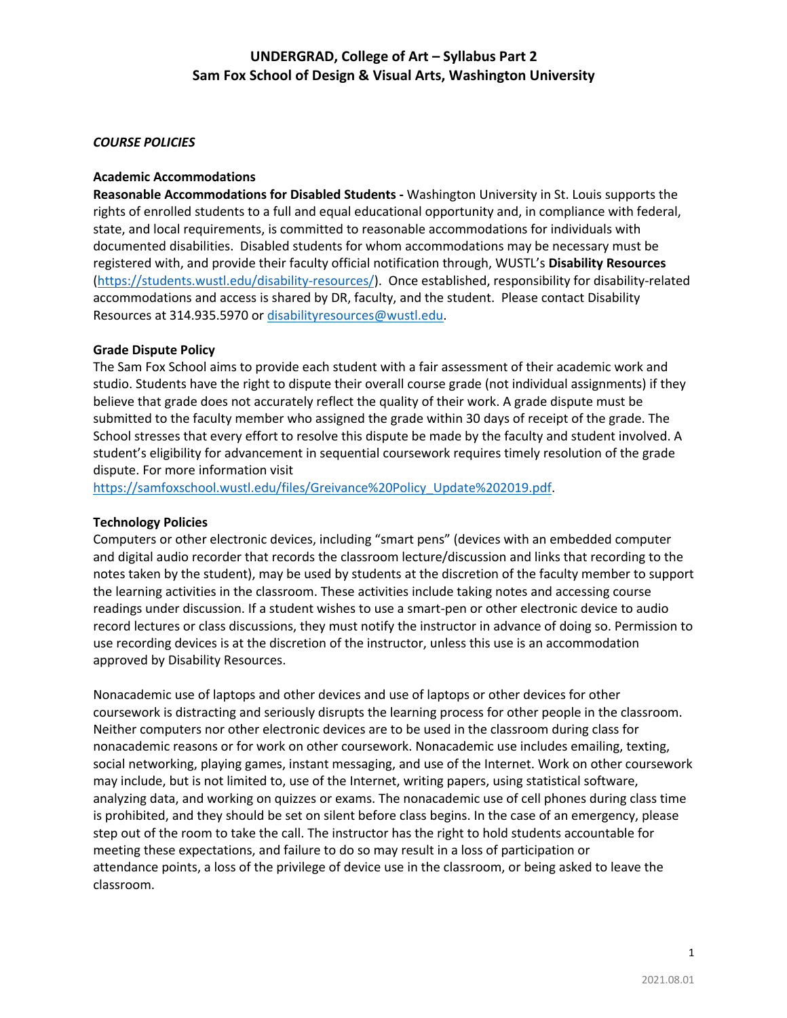#### *COURSE POLICIES*

#### **Academic Accommodations**

**Reasonable Accommodations for Disabled Students -** Washington University in St. Louis supports the rights of enrolled students to a full and equal educational opportunity and, in compliance with federal, state, and local requirements, is committed to reasonable accommodations for individuals with documented disabilities. Disabled students for whom accommodations may be necessary must be registered with, and provide their faculty official notification through, WUSTL's **Disability Resources** (https://students.wustl.edu/disability-resources/). Once established, responsibility for disability-related accommodations and access is shared by DR, faculty, and the student. Please contact Disability Resources at 314.935.5970 or disabilityresources@wustl.edu.

#### **Grade Dispute Policy**

The Sam Fox School aims to provide each student with a fair assessment of their academic work and studio. Students have the right to dispute their overall course grade (not individual assignments) if they believe that grade does not accurately reflect the quality of their work. A grade dispute must be submitted to the faculty member who assigned the grade within 30 days of receipt of the grade. The School stresses that every effort to resolve this dispute be made by the faculty and student involved. A student's eligibility for advancement in sequential coursework requires timely resolution of the grade dispute. For more information visit

https://samfoxschool.wustl.edu/files/Greivance%20Policy\_Update%202019.pdf.

#### **Technology Policies**

Computers or other electronic devices, including "smart pens" (devices with an embedded computer and digital audio recorder that records the classroom lecture/discussion and links that recording to the notes taken by the student), may be used by students at the discretion of the faculty member to support the learning activities in the classroom. These activities include taking notes and accessing course readings under discussion. If a student wishes to use a smart-pen or other electronic device to audio record lectures or class discussions, they must notify the instructor in advance of doing so. Permission to use recording devices is at the discretion of the instructor, unless this use is an accommodation approved by Disability Resources.

Nonacademic use of laptops and other devices and use of laptops or other devices for other coursework is distracting and seriously disrupts the learning process for other people in the classroom. Neither computers nor other electronic devices are to be used in the classroom during class for nonacademic reasons or for work on other coursework. Nonacademic use includes emailing, texting, social networking, playing games, instant messaging, and use of the Internet. Work on other coursework may include, but is not limited to, use of the Internet, writing papers, using statistical software, analyzing data, and working on quizzes or exams. The nonacademic use of cell phones during class time is prohibited, and they should be set on silent before class begins. In the case of an emergency, please step out of the room to take the call. The instructor has the right to hold students accountable for meeting these expectations, and failure to do so may result in a loss of participation or attendance points, a loss of the privilege of device use in the classroom, or being asked to leave the classroom.

1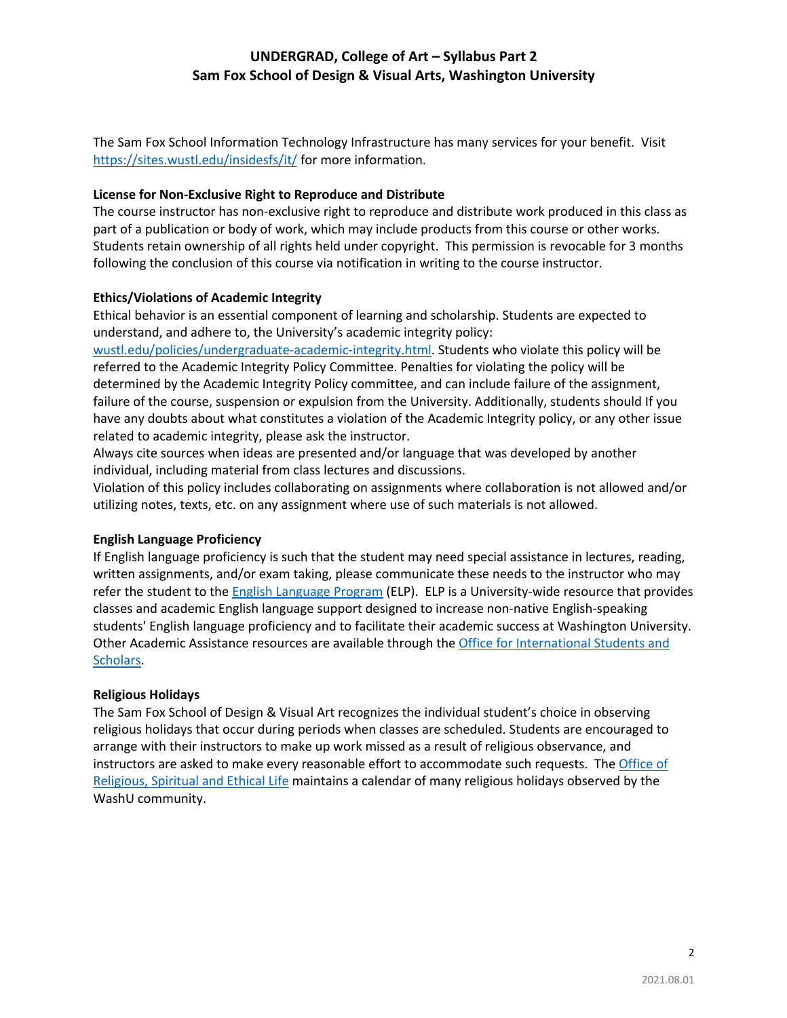The Sam Fox School Information Technology Infrastructure has many services for your benefit. Visit https://sites.wustl.edu/insidesfs/it/ for more information.

### **License for Non-Exclusive Right to Reproduce and Distribute**

The course instructor has non-exclusive right to reproduce and distribute work produced in this class as part of a publication or body of work, which may include products from this course or other works. Students retain ownership of all rights held under copyright. This permission is revocable for 3 months following the conclusion of this course via notification in writing to the course instructor.

## **Ethics/Violations of Academic Integrity**

Ethical behavior is an essential component of learning and scholarship. Students are expected to understand, and adhere to, the University's academic integrity policy:

wustl.edu/policies/undergraduate-academic-integrity.html. Students who violate this policy will be referred to the Academic Integrity Policy Committee. Penalties for violating the policy will be determined by the Academic Integrity Policy committee, and can include failure of the assignment, failure of the course, suspension or expulsion from the University. Additionally, students should If you have any doubts about what constitutes a violation of the Academic Integrity policy, or any other issue related to academic integrity, please ask the instructor.

Always cite sources when ideas are presented and/or language that was developed by another individual, including material from class lectures and discussions.

Violation of this policy includes collaborating on assignments where collaboration is not allowed and/or utilizing notes, texts, etc. on any assignment where use of such materials is not allowed.

## **English Language Proficiency**

If English language proficiency is such that the student may need special assistance in lectures, reading, written assignments, and/or exam taking, please communicate these needs to the instructor who may refer the student to the English Language Program (ELP). ELP is a University-wide resource that provides classes and academic English language support designed to increase non-native English-speaking students' English language proficiency and to facilitate their academic success at Washington University. Other Academic Assistance resources are available through the Office for International Students and Scholars.

### **Religious Holidays**

The Sam Fox School of Design & Visual Art recognizes the individual student's choice in observing religious holidays that occur during periods when classes are scheduled. Students are encouraged to arrange with their instructors to make up work missed as a result of religious observance, and instructors are asked to make every reasonable effort to accommodate such requests. The Office of Religious, Spiritual and Ethical Life maintains a calendar of many religious holidays observed by the WashU community.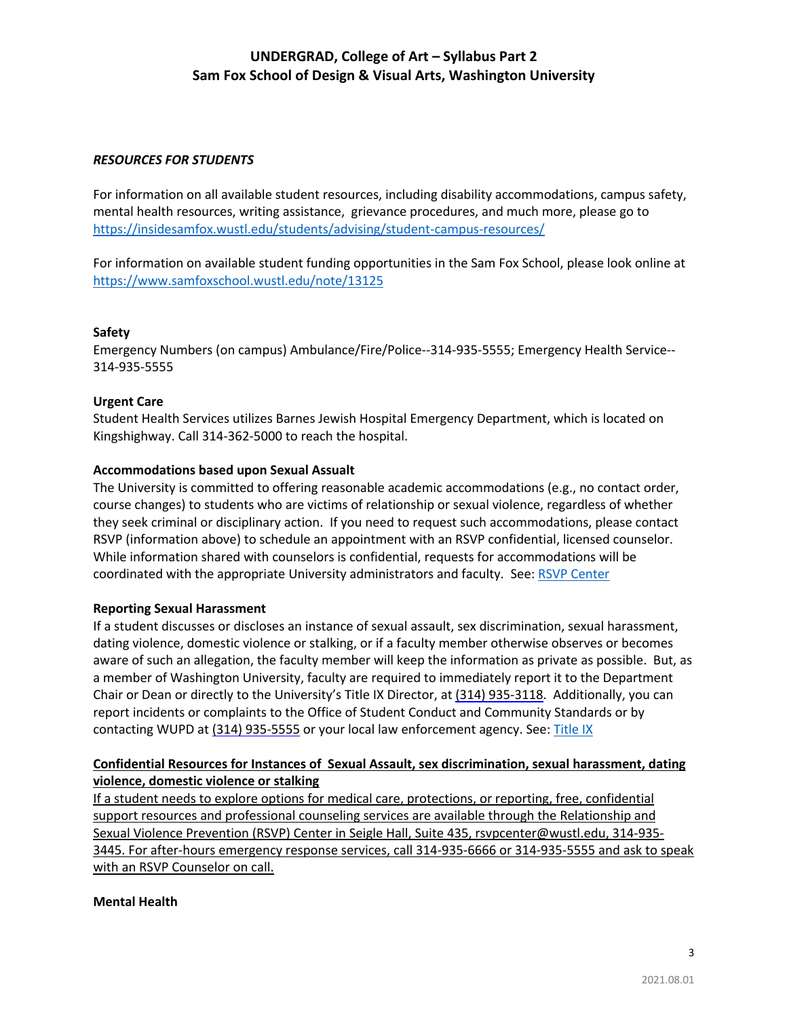### *RESOURCES FOR STUDENTS*

For information on all available student resources, including disability accommodations, campus safety, mental health resources, writing assistance, grievance procedures, and much more, please go to https://insidesamfox.wustl.edu/students/advising/student-campus-resources/

For information on available student funding opportunities in the Sam Fox School, please look online at https://www.samfoxschool.wustl.edu/note/13125

### **Safety**

Emergency Numbers (on campus) Ambulance/Fire/Police--314-935-5555; Emergency Health Service-- 314-935-5555

## **Urgent Care**

Student Health Services utilizes Barnes Jewish Hospital Emergency Department, which is located on Kingshighway. Call 314-362-5000 to reach the hospital.

## **Accommodations based upon Sexual Assualt**

The University is committed to offering reasonable academic accommodations (e.g., no contact order, course changes) to students who are victims of relationship or sexual violence, regardless of whether they seek criminal or disciplinary action. If you need to request such accommodations, please contact RSVP (information above) to schedule an appointment with an RSVP confidential, licensed counselor. While information shared with counselors is confidential, requests for accommodations will be coordinated with the appropriate University administrators and faculty. See: RSVP Center

### **Reporting Sexual Harassment**

If a student discusses or discloses an instance of sexual assault, sex discrimination, sexual harassment, dating violence, domestic violence or stalking, or if a faculty member otherwise observes or becomes aware of such an allegation, the faculty member will keep the information as private as possible. But, as a member of Washington University, faculty are required to immediately report it to the Department Chair or Dean or directly to the University's Title IX Director, at (314) 935-3118. Additionally, you can report incidents or complaints to the Office of Student Conduct and Community Standards or by contacting WUPD at (314) 935-5555 or your local law enforcement agency. See: Title IX

## **Confidential Resources for Instances of Sexual Assault, sex discrimination, sexual harassment, dating violence, domestic violence or stalking**

If a student needs to explore options for medical care, protections, or reporting, free, confidential support resources and professional counseling services are available through the Relationship and Sexual Violence Prevention (RSVP) Center in Seigle Hall, Suite 435, rsvpcenter@wustl.edu, 314-935- 3445. For after-hours emergency response services, call 314-935-6666 or 314-935-5555 and ask to speak with an RSVP Counselor on call.

### **Mental Health**